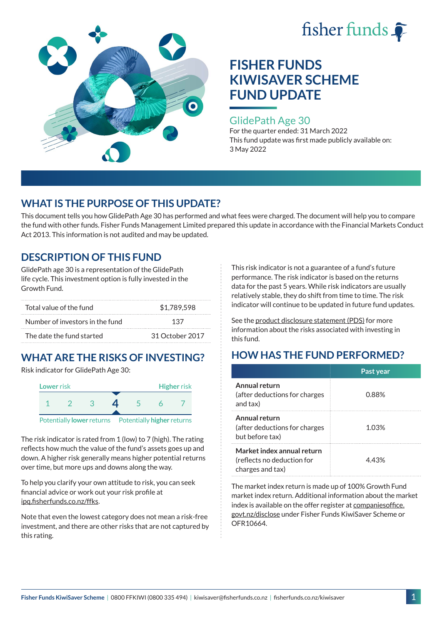



### GlidePath Age 30

For the quarter ended: 31 March 2022 This fund update was first made publicly available on: 3 May 2022

# **WHAT IS THE PURPOSE OF THIS UPDATE?**

This document tells you how GlidePath Age 30 has performed and what fees were charged. The document will help you to compare the fund with other funds. Fisher Funds Management Limited prepared this update in accordance with the Financial Markets Conduct Act 2013. This information is not audited and may be updated.

# **DESCRIPTION OF THIS FUND**

GlidePath age 30 is a representation of the GlidePath life cycle. This investment option is fully invested in the Growth Fund.

| Total value of the fund         | \$1,789,598     |  |
|---------------------------------|-----------------|--|
| Number of investors in the fund | 137             |  |
| The date the fund started       | 31 October 2017 |  |

# **WHAT ARE THE RISKS OF INVESTING?**

Risk indicator for GlidePath Age 30:



The risk indicator is rated from 1 (low) to 7 (high). The rating

reflects how much the value of the fund's assets goes up and down. A higher risk generally means higher potential returns over time, but more ups and downs along the way.

To help you clarify your own attitude to risk, you can seek financial advice or work out your risk profile at [ipq.fisherfunds.co.nz/ffks](https://ipq.fisherfunds.co.nz/ffks).

Note that even the lowest category does not mean a risk-free investment, and there are other risks that are not captured by this rating.

This risk indicator is not a guarantee of a fund's future performance. The risk indicator is based on the returns data for the past 5 years. While risk indicators are usually relatively stable, they do shift from time to time. The risk indicator will continue to be updated in future fund updates.

See the [product disclosure statement \(PDS\)](https://fisherfunds.co.nz/assets/PDS/Fisher-Funds-KiwiSaver-Scheme-PDS.pdf) for more information about the risks associated with investing in this fund.

# **HOW HAS THE FUND PERFORMED?**

|                                                                              | Past year |
|------------------------------------------------------------------------------|-----------|
| Annual return<br>(after deductions for charges<br>and tax)                   | 0.88%     |
| Annual return<br>(after deductions for charges<br>but before tax)            | 1.03%     |
| Market index annual return<br>(reflects no deduction for<br>charges and tax) | 443%      |

The market index return is made up of 100% Growth Fund market index return. Additional information about the market index is available on the offer register at [companiesoffice.](http://companiesoffice.govt.nz/disclose) [govt.nz/disclose](http://companiesoffice.govt.nz/disclose) under Fisher Funds KiwiSaver Scheme or OFR10664.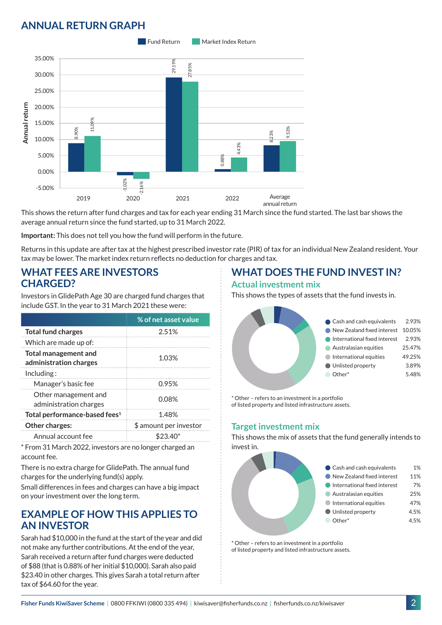# **ANNUAL RETURN GRAPH**



This shows the return after fund charges and tax for each year ending 31 March since the fund started. The last bar shows the average annual return since the fund started, up to 31 March 2022.

**Important:** This does not tell you how the fund will perform in the future.

Returns in this update are after tax at the highest prescribed investor rate (PIR) of tax for an individual New Zealand resident. Your tax may be lower. The market index return reflects no deduction for charges and tax.

### **WHAT FEES ARE INVESTORS CHARGED?**

Investors in GlidePath Age 30 are charged fund charges that include GST. In the year to 31 March 2021 these were:

|                                                       | % of net asset value   |  |
|-------------------------------------------------------|------------------------|--|
| <b>Total fund charges</b>                             | 2.51%                  |  |
| Which are made up of:                                 |                        |  |
| <b>Total management and</b><br>administration charges | 1.03%                  |  |
| Inding:                                               |                        |  |
| Manager's basic fee                                   | 0.95%                  |  |
| Other management and<br>administration charges        | 0.08%                  |  |
| Total performance-based fees <sup>1</sup>             | 1.48%                  |  |
| Other charges:                                        | \$ amount per investor |  |
| Annual account fee                                    |                        |  |

\* From 31 March 2022, investors are no longer charged an account fee.

There is no extra charge for GlidePath. The annual fund charges for the underlying fund(s) apply.

Small differences in fees and charges can have a big impact on your investment over the long term.

### **EXAMPLE OF HOW THIS APPLIES TO AN INVESTOR**

Sarah had \$10,000 in the fund at the start of the year and did not make any further contributions. At the end of the year, Sarah received a return after fund charges were deducted of \$88 (that is 0.88% of her initial \$10,000). Sarah also paid \$23.40 in other charges. This gives Sarah a total return after tax of \$64.60 for the year.

# **WHAT DOES THE FUND INVEST IN?**

#### **Actual investment mix**

This shows the types of assets that the fund invests in.



\* Other – refers to an investment in a portfolio of listed property and listed infrastructure assets.

### **Target investment mix**

This shows the mix of assets that the fund generally intends to invest in.



\* Other – refers to an investment in a portfolio of listed property and listed infrastructure assets.